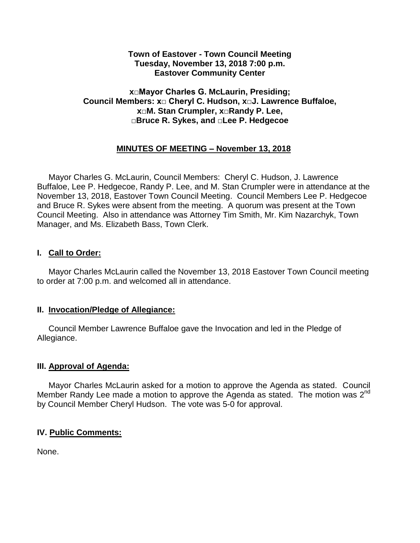#### **Town of Eastover - Town Council Meeting Tuesday, November 13, 2018 7:00 p.m. Eastover Community Center**

### **x□Mayor Charles G. McLaurin, Presiding; Council Members: x□ Cheryl C. Hudson, x□J. Lawrence Buffaloe, x□M. Stan Crumpler, x□Randy P. Lee, □Bruce R. Sykes, and □Lee P. Hedgecoe**

# **MINUTES OF MEETING – November 13, 2018**

 Mayor Charles G. McLaurin, Council Members: Cheryl C. Hudson, J. Lawrence Buffaloe, Lee P. Hedgecoe, Randy P. Lee, and M. Stan Crumpler were in attendance at the November 13, 2018, Eastover Town Council Meeting. Council Members Lee P. Hedgecoe and Bruce R. Sykes were absent from the meeting. A quorum was present at the Town Council Meeting. Also in attendance was Attorney Tim Smith, Mr. Kim Nazarchyk, Town Manager, and Ms. Elizabeth Bass, Town Clerk.

### **I. Call to Order:**

 Mayor Charles McLaurin called the November 13, 2018 Eastover Town Council meeting to order at 7:00 p.m. and welcomed all in attendance.

#### **II. Invocation/Pledge of Allegiance:**

 Council Member Lawrence Buffaloe gave the Invocation and led in the Pledge of Allegiance.

### **III. Approval of Agenda:**

 Mayor Charles McLaurin asked for a motion to approve the Agenda as stated. Council Member Randy Lee made a motion to approve the Agenda as stated. The motion was  $2^{nd}$ by Council Member Cheryl Hudson. The vote was 5-0 for approval.

### **IV. Public Comments:**

None.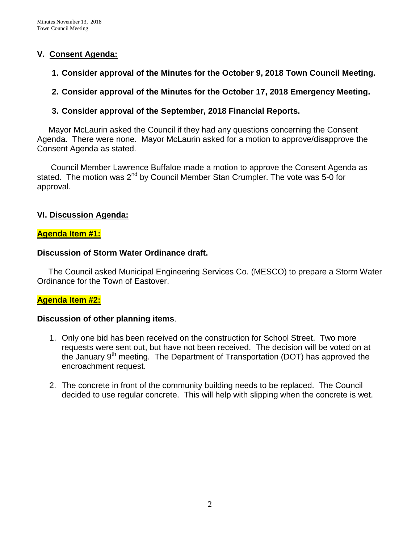### **V. Consent Agenda:**

- **1. Consider approval of the Minutes for the October 9, 2018 Town Council Meeting.**
- **2. Consider approval of the Minutes for the October 17, 2018 Emergency Meeting.**
- **3. Consider approval of the September, 2018 Financial Reports.**

 Mayor McLaurin asked the Council if they had any questions concerning the Consent Agenda. There were none. Mayor McLaurin asked for a motion to approve/disapprove the Consent Agenda as stated.

 Council Member Lawrence Buffaloe made a motion to approve the Consent Agenda as stated. The motion was  $2^{nd}$  by Council Member Stan Crumpler. The vote was 5-0 for approval.

## **VI. Discussion Agenda:**

### **Agenda Item #1:**

### **Discussion of Storm Water Ordinance draft.**

The Council asked Municipal Engineering Services Co. (MESCO) to prepare a Storm Water Ordinance for the Town of Eastover.

### **Agenda Item #2:**

### **Discussion of other planning items**.

- 1. Only one bid has been received on the construction for School Street. Two more requests were sent out, but have not been received. The decision will be voted on at the January 9<sup>th</sup> meeting. The Department of Transportation (DOT) has approved the encroachment request.
- 2. The concrete in front of the community building needs to be replaced. The Council decided to use regular concrete. This will help with slipping when the concrete is wet.